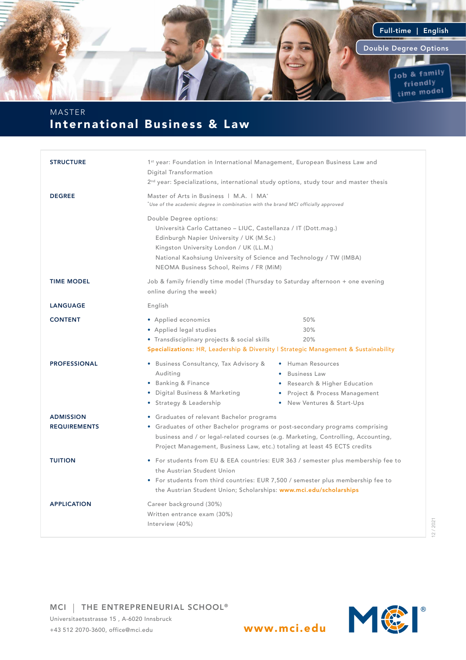

## International Business & Law MASTER

| <b>STRUCTURE</b>                        | 1 <sup>st</sup> year: Foundation in International Management, European Business Law and<br>Digital Transformation<br>2 <sup>nd</sup> year: Specializations, international study options, study tour and master thesis                                                                             |  |  |  |
|-----------------------------------------|---------------------------------------------------------------------------------------------------------------------------------------------------------------------------------------------------------------------------------------------------------------------------------------------------|--|--|--|
| <b>DEGREE</b>                           | Master of Arts in Business   M.A.   MA <sup>*</sup><br>$\tilde{ }$ Use of the academic degree in combination with the brand MCI officially approved                                                                                                                                               |  |  |  |
|                                         | Double Degree options:<br>Università Carlo Cattaneo - LIUC, Castellanza / IT (Dott.mag.)<br>Edinburgh Napier University / UK (M.Sc.)<br>Kingston University London / UK (LL.M.)<br>National Kaohsiung University of Science and Technology / TW (IMBA)<br>NEOMA Business School, Reims / FR (MiM) |  |  |  |
| <b>TIME MODEL</b>                       | Job & family friendly time model (Thursday to Saturday afternoon + one evening<br>online during the week)                                                                                                                                                                                         |  |  |  |
| <b>LANGUAGE</b>                         | English                                                                                                                                                                                                                                                                                           |  |  |  |
| <b>CONTENT</b>                          | • Applied economics<br>50%<br>30%<br>• Applied legal studies<br>• Transdisciplinary projects & social skills<br>20%<br>Specializations: HR, Leadership & Diversity   Strategic Management & Sustainability                                                                                        |  |  |  |
| <b>PROFESSIONAL</b>                     | · Business Consultancy, Tax Advisory &<br>• Human Resources<br>Auditing<br>• Business Law<br>• Banking & Finance<br>• Research & Higher Education<br>• Digital Business & Marketing<br>• Project & Process Management<br>• Strategy & Leadership<br>• New Ventures & Start-Ups                    |  |  |  |
| <b>ADMISSION</b><br><b>REQUIREMENTS</b> | • Graduates of relevant Bachelor programs<br>• Graduates of other Bachelor programs or post-secondary programs comprising<br>business and / or legal-related courses (e.g. Marketing, Controlling, Accounting,<br>Project Management, Business Law, etc.) totaling at least 45 ECTS credits       |  |  |  |
| <b>TUITION</b>                          | • For students from EU & EEA countries: EUR 363 / semester plus membership fee to<br>the Austrian Student Union<br>• For students from third countries: EUR 7,500 / semester plus membership fee to<br>the Austrian Student Union; Scholarships: www.mci.edu/scholarships                         |  |  |  |
| <b>APPLICATION</b>                      | Career background (30%)<br>Written entrance exam (30%)<br>Interview (40%)                                                                                                                                                                                                                         |  |  |  |

12 / 2021

MCI | THE ENTREPRENEURIAL SCHOOL®

Universitaetsstrasse 15 , A-6020 Innsbruck +43 512 2070-3600, office@mci.edu www.mci.edu